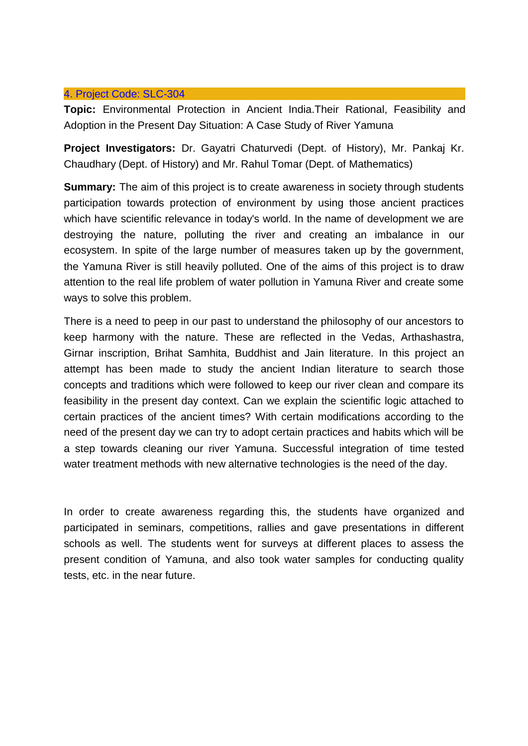## 4. Project Code: [SLC-304](http://slc.du.ac.in/completed-project.php#Project4)

**Topic:** Environmental Protection in Ancient India.Their Rational, Feasibility and Adoption in the Present Day Situation: A Case Study of River Yamuna

**Project Investigators:** Dr. Gayatri Chaturvedi (Dept. of History), Mr. Pankaj Kr. Chaudhary (Dept. of History) and Mr. Rahul Tomar (Dept. of Mathematics)

**Summary:** The aim of this project is to create awareness in society through students participation towards protection of environment by using those ancient practices which have scientific relevance in today's world. In the name of development we are destroying the nature, polluting the river and creating an imbalance in our ecosystem. In spite of the large number of measures taken up by the government, the Yamuna River is still heavily polluted. One of the aims of this project is to draw attention to the real life problem of water pollution in Yamuna River and create some ways to solve this problem.

There is a need to peep in our past to understand the philosophy of our ancestors to keep harmony with the nature. These are reflected in the Vedas, Arthashastra, Girnar inscription, Brihat Samhita, Buddhist and Jain literature. In this project an attempt has been made to study the ancient Indian literature to search those concepts and traditions which were followed to keep our river clean and compare its feasibility in the present day context. Can we explain the scientific logic attached to certain practices of the ancient times? With certain modifications according to the need of the present day we can try to adopt certain practices and habits which will be a step towards cleaning our river Yamuna. Successful integration of time tested water treatment methods with new alternative technologies is the need of the day.

In order to create awareness regarding this, the students have organized and participated in seminars, competitions, rallies and gave presentations in different schools as well. The students went for surveys at different places to assess the present condition of Yamuna, and also took water samples for conducting quality tests, etc. in the near future.